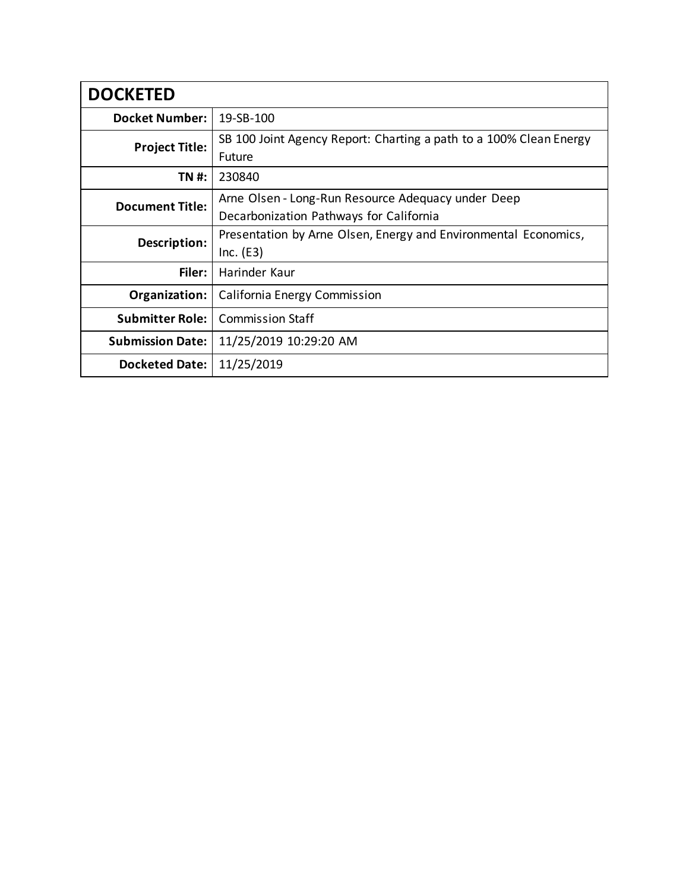| <b>DOCKETED</b>         |                                                                                               |  |  |  |
|-------------------------|-----------------------------------------------------------------------------------------------|--|--|--|
| <b>Docket Number:</b>   | 19-SB-100                                                                                     |  |  |  |
| <b>Project Title:</b>   | SB 100 Joint Agency Report: Charting a path to a 100% Clean Energy<br><b>Future</b>           |  |  |  |
| TN #:                   | 230840                                                                                        |  |  |  |
| <b>Document Title:</b>  | Arne Olsen - Long-Run Resource Adequacy under Deep<br>Decarbonization Pathways for California |  |  |  |
| Description:            | Presentation by Arne Olsen, Energy and Environmental Economics,<br>Inc. (E3)                  |  |  |  |
| Filer:                  | Harinder Kaur                                                                                 |  |  |  |
| Organization:           | California Energy Commission                                                                  |  |  |  |
| <b>Submitter Role:</b>  | <b>Commission Staff</b>                                                                       |  |  |  |
| <b>Submission Date:</b> | 11/25/2019 10:29:20 AM                                                                        |  |  |  |
| Docketed Date:          | 11/25/2019                                                                                    |  |  |  |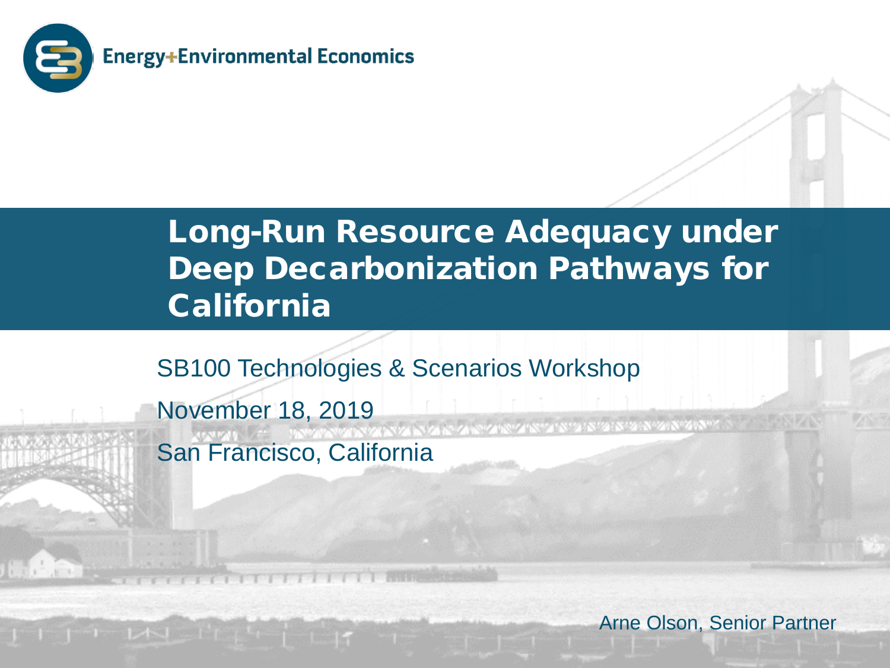

**LAND HOME** 

### Long-Run Resource Adequacy under Deep Decarbonization Pathways for California

SB100 Technologies & Scenarios Workshop

November 18, 2019 San Francisco, California

Arne Olson, Senior Partner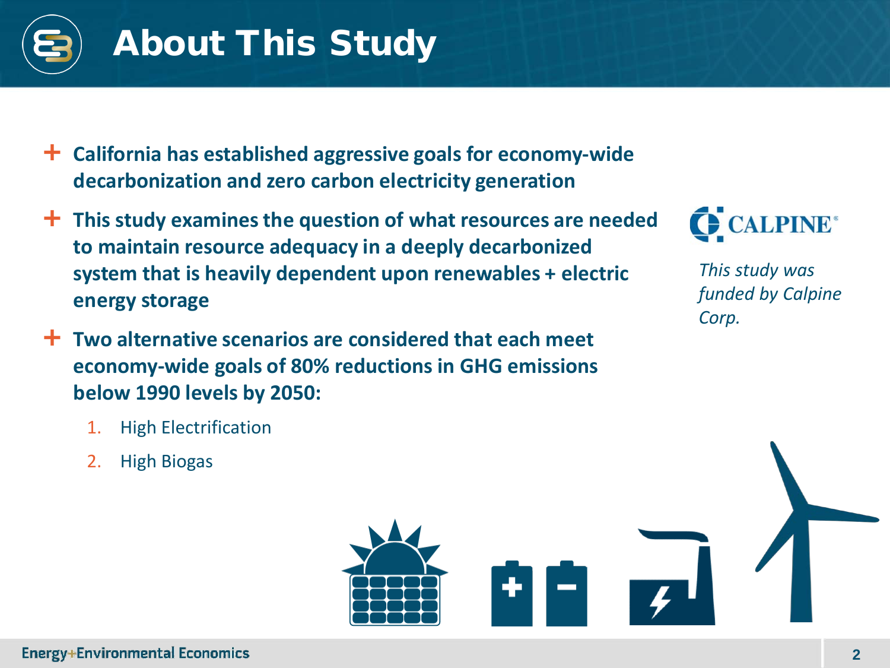

# About This Study

- **California has established aggressive goals for economy-wide decarbonization and zero carbon electricity generation**
- **This study examines the question of what resources are needed to maintain resource adequacy in a deeply decarbonized system that is heavily dependent upon renewables + electric energy storage**
- **Two alternative scenarios are considered that each meet economy-wide goals of 80% reductions in GHG emissions below 1990 levels by 2050:**



*This study was funded by Calpine Corp.*

- 1. High Electrification
- 2. High Biogas

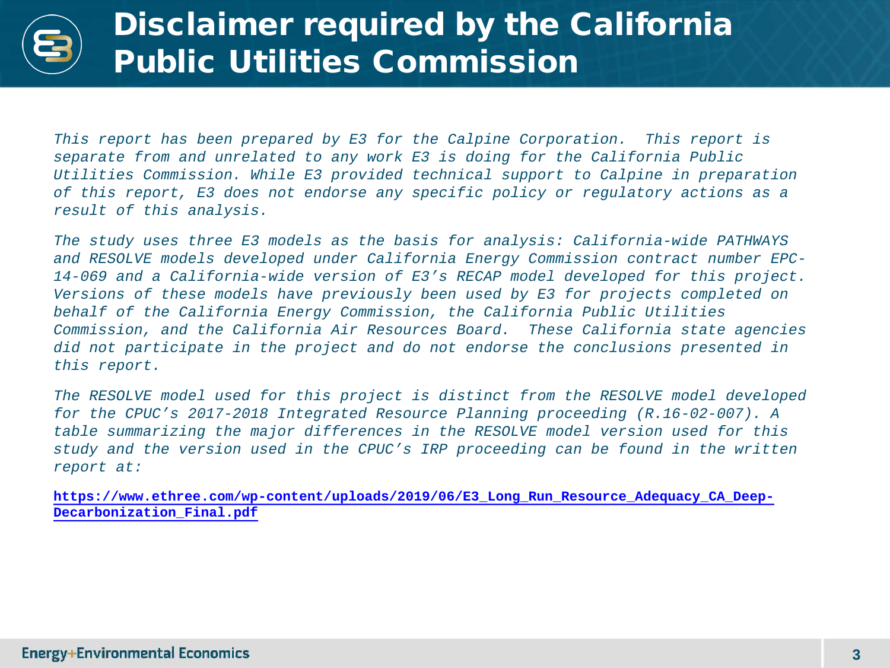### Disclaimer required by the California Public Utilities Commission

*This report has been prepared by E3 for the Calpine Corporation. This report is separate from and unrelated to any work E3 is doing for the California Public Utilities Commission. While E3 provided technical support to Calpine in preparation of this report, E3 does not endorse any specific policy or regulatory actions as a result of this analysis.*

*The study uses three E3 models as the basis for analysis: California-wide PATHWAYS and RESOLVE models developed under California Energy Commission contract number EPC-14-069 and a California-wide version of E3's RECAP model developed for this project. Versions of these models have previously been used by E3 for projects completed on behalf of the California Energy Commission, the California Public Utilities Commission, and the California Air Resources Board. These California state agencies did not participate in the project and do not endorse the conclusions presented in this report.*

*The RESOLVE model used for this project is distinct from the RESOLVE model developed for the CPUC's 2017-2018 Integrated Resource Planning proceeding (R.16-02-007). A table summarizing the major differences in the RESOLVE model version used for this study and the version used in the CPUC's IRP proceeding can be found in the written report at:* 

**[https://www.ethree.com/wp-content/uploads/2019/06/E3\\_Long\\_Run\\_Resource\\_Adequacy\\_CA\\_Deep-](https://www.ethree.com/wp-content/uploads/2019/06/E3_Long_Run_Resource_Adequacy_CA_Deep-Decarbonization_Final.pdf)Decarbonization\_Final.pdf**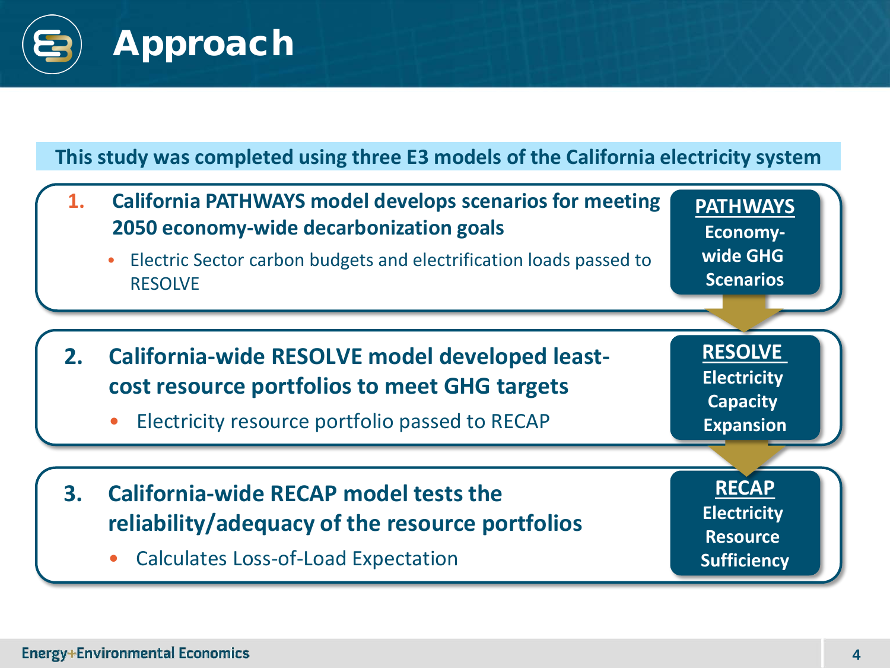

#### **This study was completed using three E3 models of the California electricity system**

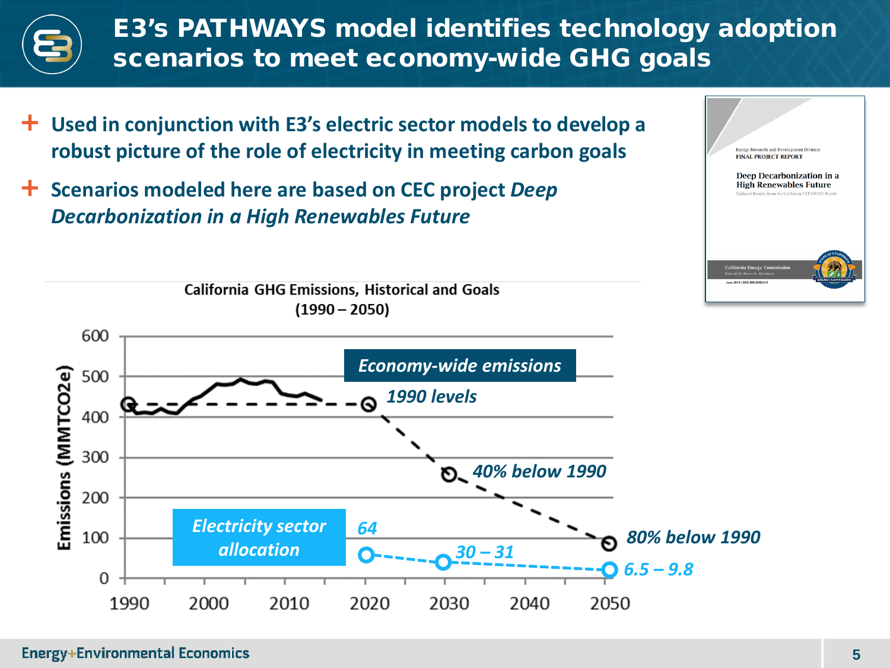

- **Used in conjunction with E3's electric sector models to develop a robust picture of the role of electricity in meeting carbon goals**
- **Scenarios modeled here are based on CEC project** *Deep Decarbonization in a High Renewables Future*



**Energy Research and Development Division FINAL PROJECT REPORT** 

Deep Decarbonization in a **High Renewables Future** Ite from the Colifornia PATIIWAVS Mode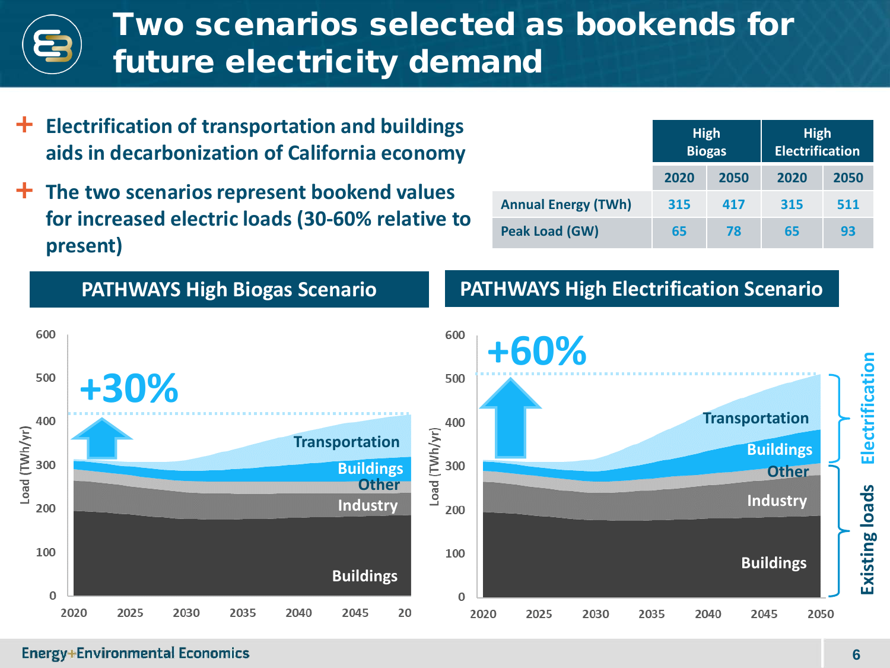### Two scenarios selected as bookends for future electricity demand

- **Electrification of transportation and buildings aids in decarbonization of California economy**
- **The two scenarios represent bookend values for increased electric loads (30-60% relative to present)**

|                            | <b>High</b><br><b>Biogas</b> |      | <b>High</b><br><b>Electrification</b> |      |
|----------------------------|------------------------------|------|---------------------------------------|------|
|                            | 2020                         | 2050 | 2020                                  | 2050 |
| <b>Annual Energy (TWh)</b> | 315                          | 417  | 315                                   | 511  |
| Peak Load (GW)             | 65                           | 78   | 65                                    | 93   |

#### **PATHWAYS High Biogas Scenario**

#### **PATHWAYS High Electrification Scenario**

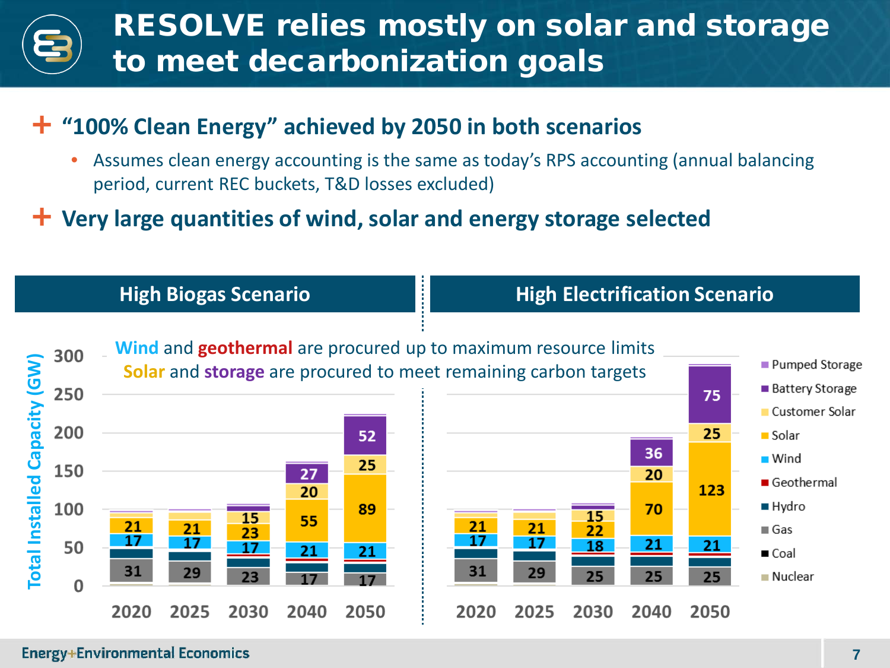## RESOLVE relies mostly on solar and storage to meet decarbonization goals

#### **"100% Clean Energy" achieved by 2050 in both scenarios**

• Assumes clean energy accounting is the same as today's RPS accounting (annual balancing period, current REC buckets, T&D losses excluded)

#### **Very large quantities of wind, solar and energy storage selected**



#### **Energy+Environmental Economics**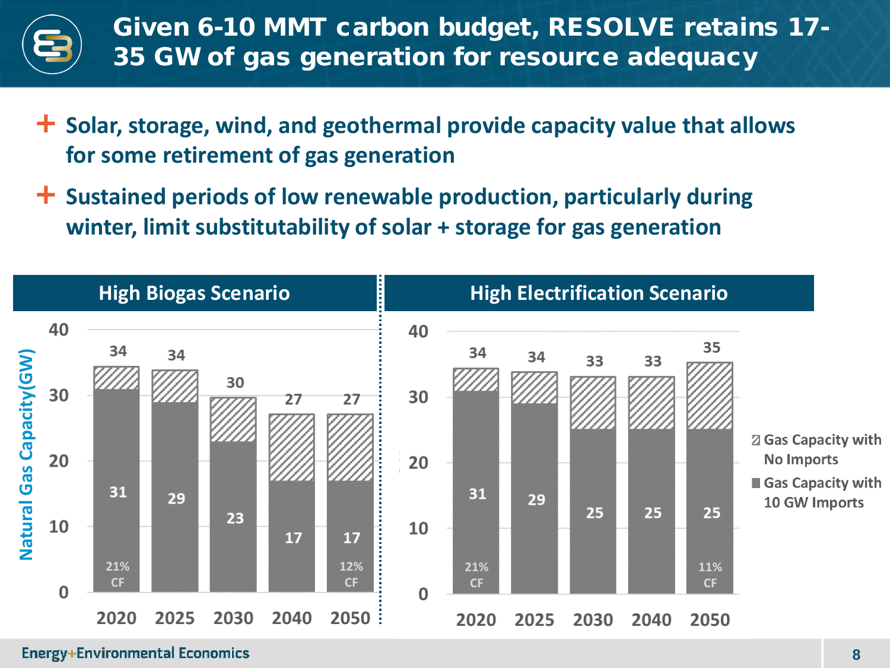

- **Solar, storage, wind, and geothermal provide capacity value that allows for some retirement of gas generation**
- **Sustained periods of low renewable production, particularly during winter, limit substitutability of solar + storage for gas generation**

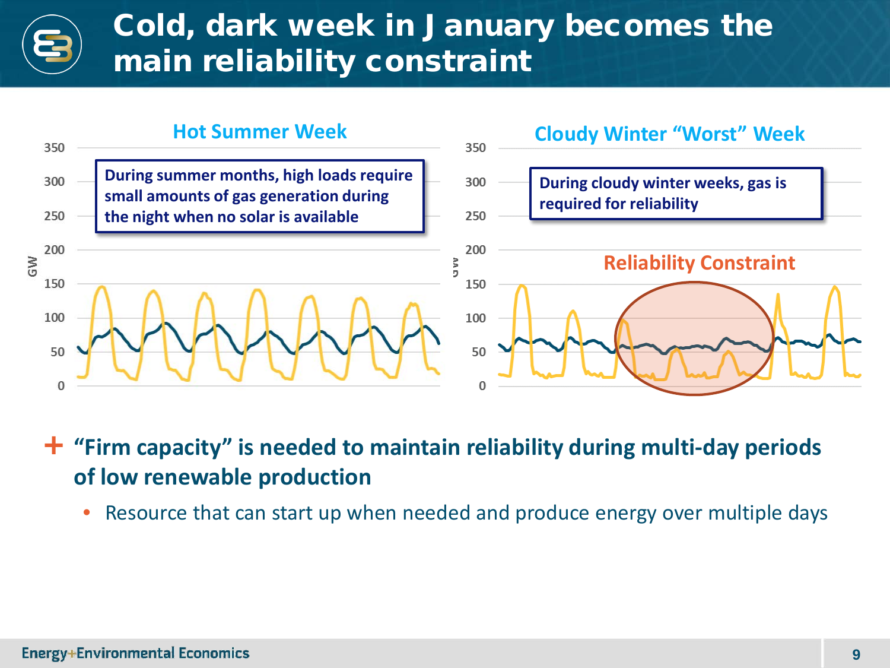### Cold, dark week in January becomes the main reliability constraint



 **"Firm capacity" is needed to maintain reliability during multi-day periods of low renewable production**

• Resource that can start up when needed and produce energy over multiple days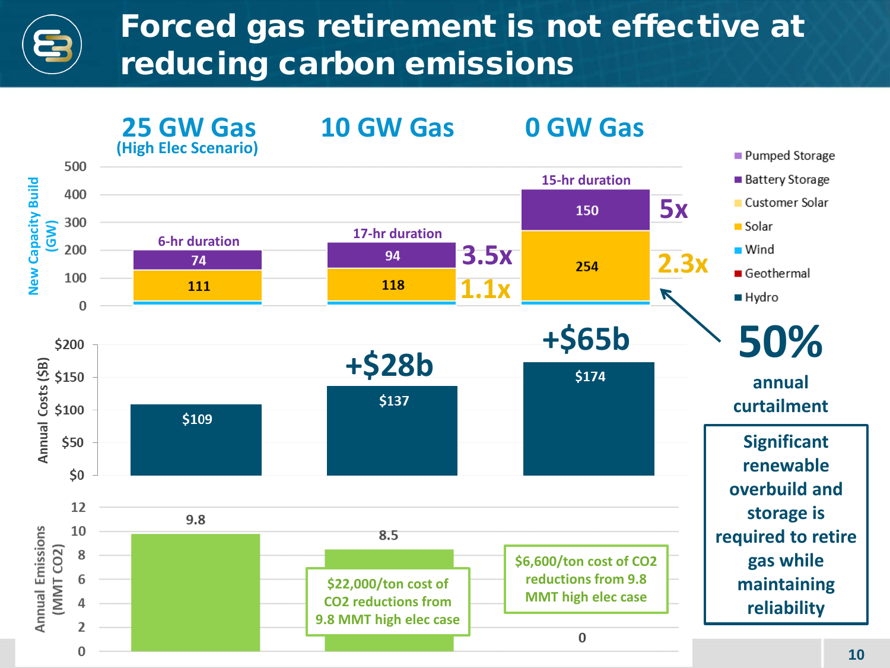### Forced gas retirement is not effective at reducing carbon emissions

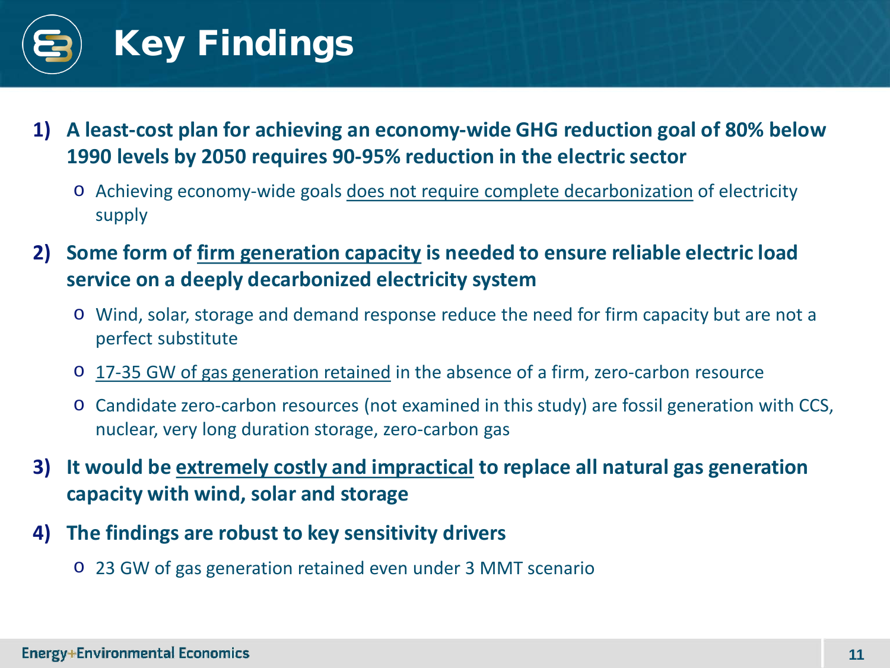

- **1) A least-cost plan for achieving an economy-wide GHG reduction goal of 80% below 1990 levels by 2050 requires 90-95% reduction in the electric sector**
	- o Achieving economy-wide goals does not require complete decarbonization of electricity supply
- **2) Some form of firm generation capacity is needed to ensure reliable electric load service on a deeply decarbonized electricity system**
	- o Wind, solar, storage and demand response reduce the need for firm capacity but are not a perfect substitute
	- o 17-35 GW of gas generation retained in the absence of a firm, zero-carbon resource
	- o Candidate zero-carbon resources (not examined in this study) are fossil generation with CCS, nuclear, very long duration storage, zero-carbon gas
- **3) It would be extremely costly and impractical to replace all natural gas generation capacity with wind, solar and storage**
- **4) The findings are robust to key sensitivity drivers**
	- o 23 GW of gas generation retained even under 3 MMT scenario